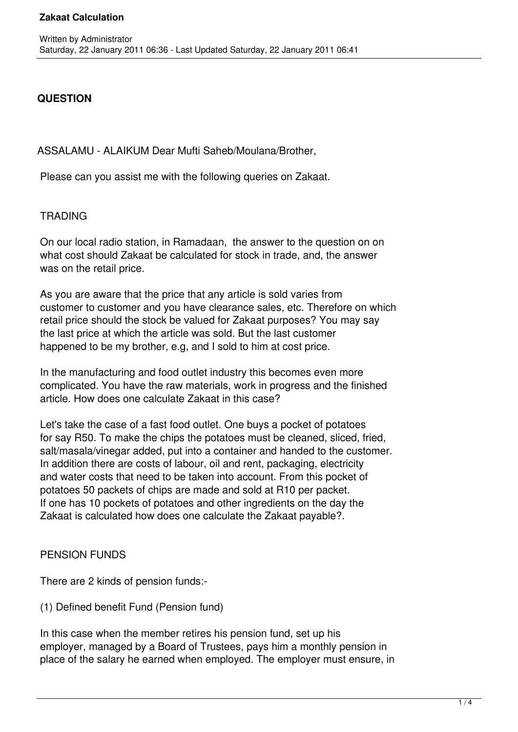# **QUESTION**

ASSALAMU - ALAIKUM Dear Mufti Saheb/Moulana/Brother,

Please can you assist me with the following queries on Zakaat.

## **TRADING**

 On our local radio station, in Ramadaan, the answer to the question on on what cost should Zakaat be calculated for stock in trade, and, the answer was on the retail price.

 As you are aware that the price that any article is sold varies from customer to customer and you have clearance sales, etc. Therefore on which retail price should the stock be valued for Zakaat purposes? You may say the last price at which the article was sold. But the last customer happened to be my brother, e.g, and I sold to him at cost price.

 In the manufacturing and food outlet industry this becomes even more complicated. You have the raw materials, work in progress and the finished article. How does one calculate Zakaat in this case?

 Let's take the case of a fast food outlet. One buys a pocket of potatoes for say R50. To make the chips the potatoes must be cleaned, sliced, fried, salt/masala/vinegar added, put into a container and handed to the customer. In addition there are costs of labour, oil and rent, packaging, electricity and water costs that need to be taken into account. From this pocket of potatoes 50 packets of chips are made and sold at R10 per packet. If one has 10 pockets of potatoes and other ingredients on the day the Zakaat is calculated how does one calculate the Zakaat payable?.

## PENSION FUNDS

There are 2 kinds of pension funds:-

(1) Defined benefit Fund (Pension fund)

 In this case when the member retires his pension fund, set up his employer, managed by a Board of Trustees, pays him a monthly pension in place of the salary he earned when employed. The employer must ensure, in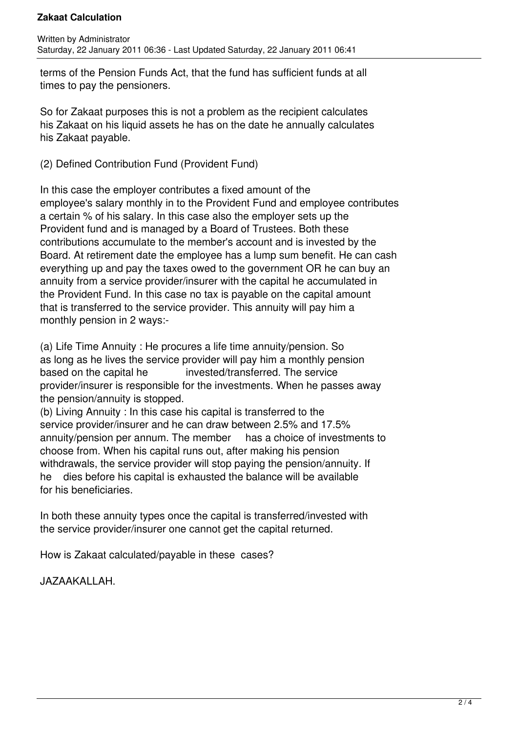### **Zakaat Calculation**

 terms of the Pension Funds Act, that the fund has sufficient funds at all times to pay the pensioners.

 So for Zakaat purposes this is not a problem as the recipient calculates his Zakaat on his liquid assets he has on the date he annually calculates his Zakaat payable.

(2) Defined Contribution Fund (Provident Fund)

 In this case the employer contributes a fixed amount of the employee's salary monthly in to the Provident Fund and employee contributes a certain % of his salary. In this case also the employer sets up the Provident fund and is managed by a Board of Trustees. Both these contributions accumulate to the member's account and is invested by the Board. At retirement date the employee has a lump sum benefit. He can cash everything up and pay the taxes owed to the government OR he can buy an annuity from a service provider/insurer with the capital he accumulated in the Provident Fund. In this case no tax is payable on the capital amount that is transferred to the service provider. This annuity will pay him a monthly pension in 2 ways:-

 (a) Life Time Annuity : He procures a life time annuity/pension. So as long as he lives the service provider will pay him a monthly pension based on the capital he **invested/transferred.** The service provider/insurer is responsible for the investments. When he passes away the pension/annuity is stopped.

 (b) Living Annuity : In this case his capital is transferred to the service provider/insurer and he can draw between 2.5% and 17.5% annuity/pension per annum. The member has a choice of investments to choose from. When his capital runs out, after making his pension withdrawals, the service provider will stop paying the pension/annuity. If he dies before his capital is exhausted the balance will be available for his beneficiaries.

 In both these annuity types once the capital is transferred/invested with the service provider/insurer one cannot get the capital returned.

How is Zakaat calculated/payable in these cases?

JAZAAKALLAH.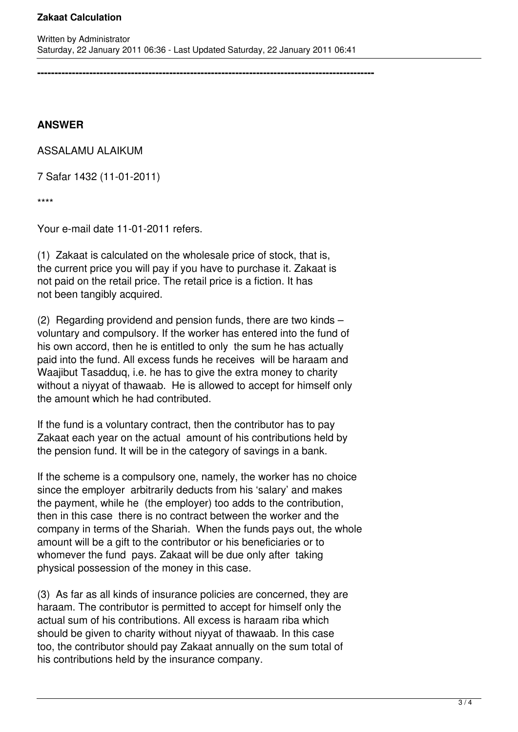**-------------------------------------------------------------------------------------------------**

**ANSWER**

ASSALAMU ALAIKUM

7 Safar 1432 (11-01-2011)

\*\*\*\*

Your e-mail date 11-01-2011 refers.

(1) Zakaat is calculated on the wholesale price of stock, that is, the current price you will pay if you have to purchase it. Zakaat is not paid on the retail price. The retail price is a fiction. It has not been tangibly acquired.

(2) Regarding providend and pension funds, there are two kinds – voluntary and compulsory. If the worker has entered into the fund of his own accord, then he is entitled to only the sum he has actually paid into the fund. All excess funds he receives will be haraam and Waajibut Tasadduq, i.e. he has to give the extra money to charity without a niyyat of thawaab. He is allowed to accept for himself only the amount which he had contributed.

If the fund is a voluntary contract, then the contributor has to pay Zakaat each year on the actual amount of his contributions held by the pension fund. It will be in the category of savings in a bank.

If the scheme is a compulsory one, namely, the worker has no choice since the employer arbitrarily deducts from his 'salary' and makes the payment, while he (the employer) too adds to the contribution, then in this case there is no contract between the worker and the company in terms of the Shariah. When the funds pays out, the whole amount will be a gift to the contributor or his beneficiaries or to whomever the fund pays. Zakaat will be due only after taking physical possession of the money in this case.

(3) As far as all kinds of insurance policies are concerned, they are haraam. The contributor is permitted to accept for himself only the actual sum of his contributions. All excess is haraam riba which should be given to charity without niyyat of thawaab. In this case too, the contributor should pay Zakaat annually on the sum total of his contributions held by the insurance company.